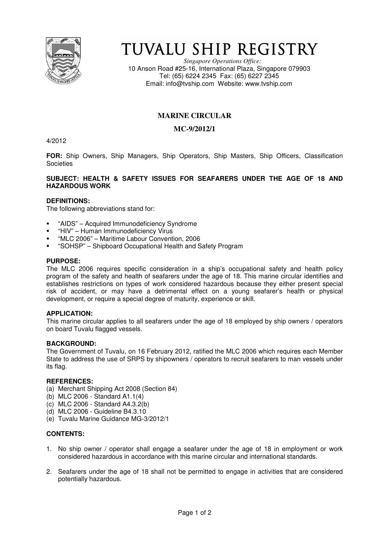

# TUVALU SHIP REGISTRY

*Singapore Operations Office:* 10 Anson Road #25-16, International Plaza, Singapore 079903 Tel: (65) 6224 2345 Fax: (65) 6227 2345 Email: info@tvship.com Website: www.tvship.com

# **MARINE CIRCULAR**

## **MC-9/2012/1**

4/2012

**FOR:** Ship Owners, Ship Managers, Ship Operators, Ship Masters, Ship Officers, Classification **Societies** 

#### **SUBJECT: HEALTH & SAFETY ISSUES FOR SEAFARERS UNDER THE AGE OF 18 AND HAZARDOUS WORK**

### **DEFINITIONS:**

The following abbreviations stand for:

- "AIDS" Acquired Immunodeficiency Syndrome
- "HIV" Human Immunodeficiency Virus
- "MLC 2006" Maritime Labour Convention, 2006
- "SOHSP" Shipboard Occupational Health and Safety Program

#### **PURPOSE:**

The MLC 2006 requires specific consideration in a ship's occupational safety and health policy program of the safety and health of seafarers under the age of 18. This marine circular identifies and establishes restrictions on types of work considered hazardous because they either present special risk of accident, or may have a detrimental effect on a young seafarer's health or physical development, or require a special degree of maturity, experience or skill.

#### **APPLICATION:**

This marine circular applies to all seafarers under the age of 18 employed by ship owners / operators on board Tuvalu flagged vessels.

#### **BACKGROUND:**

The Government of Tuvalu, on 16 February 2012, ratified the MLC 2006 which requires each Member State to address the use of SRPS by shipowners / operators to recruit seafarers to man vessels under its flag.

#### **REFERENCES:**

- (a) Merchant Shipping Act 2008 (Section 84)
- (b) MLC 2006 Standard A1.1(4)
- (c) MLC 2006 Standard A4.3.2(b)
- (d) MLC 2006 Guideline B4.3.10
- (e) Tuvalu Marine Guidance MG-3/2012/1

#### **CONTENTS:**

- 1. No ship owner / operator shall engage a seafarer under the age of 18 in employment or work considered hazardous in accordance with this marine circular and international standards.
- 2. Seafarers under the age of 18 shall not be permitted to engage in activities that are considered potentially hazardous.